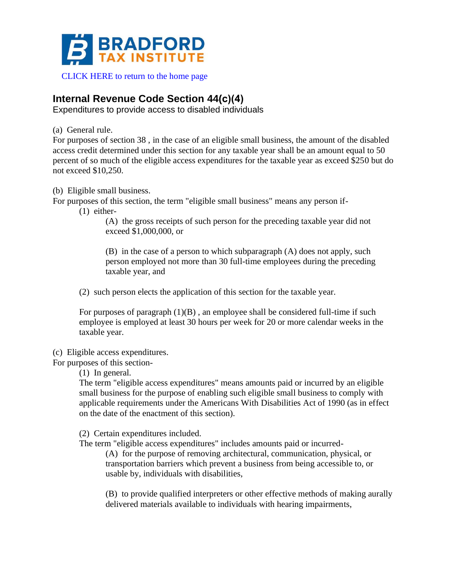

[CLICK HERE to return to the home page](https://www.bradfordtaxinstitute.com)

## **Internal Revenue Code Section 44(c)(4)**

Expenditures to provide access to disabled individuals

(a) General rule.

For purposes of section 38 , in the case of an eligible small business, the amount of the disabled access credit determined under this section for any taxable year shall be an amount equal to 50 percent of so much of the eligible access expenditures for the taxable year as exceed \$250 but do not exceed \$10,250.

(b) Eligible small business.

For purposes of this section, the term "eligible small business" means any person if-

(1) either-

(A) the gross receipts of such person for the preceding taxable year did not exceed \$1,000,000, or

(B) in the case of a person to which subparagraph (A) does not apply, such person employed not more than 30 full-time employees during the preceding taxable year, and

(2) such person elects the application of this section for the taxable year.

For purposes of paragraph  $(1)(B)$ , an employee shall be considered full-time if such employee is employed at least 30 hours per week for 20 or more calendar weeks in the taxable year.

## (c) Eligible access expenditures.

For purposes of this section-

(1) In general.

The term "eligible access expenditures" means amounts paid or incurred by an eligible small business for the purpose of enabling such eligible small business to comply with applicable requirements under the Americans With Disabilities Act of 1990 (as in effect on the date of the enactment of this section).

(2) Certain expenditures included.

The term "eligible access expenditures" includes amounts paid or incurred-

(A) for the purpose of removing architectural, communication, physical, or transportation barriers which prevent a business from being accessible to, or usable by, individuals with disabilities,

(B) to provide qualified interpreters or other effective methods of making aurally delivered materials available to individuals with hearing impairments,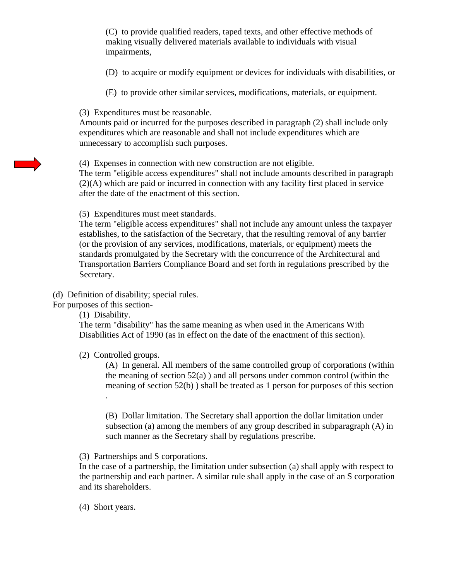(C) to provide qualified readers, taped texts, and other effective methods of making visually delivered materials available to individuals with visual impairments,

(D) to acquire or modify equipment or devices for individuals with disabilities, or

(E) to provide other similar services, modifications, materials, or equipment.

(3) Expenditures must be reasonable.

Amounts paid or incurred for the purposes described in paragraph (2) shall include only expenditures which are reasonable and shall not include expenditures which are unnecessary to accomplish such purposes.

## (4) Expenses in connection with new construction are not eligible.

The term "eligible access expenditures" shall not include amounts described in paragraph (2)(A) which are paid or incurred in connection with any facility first placed in service after the date of the enactment of this section.

(5) Expenditures must meet standards.

The term "eligible access expenditures" shall not include any amount unless the taxpayer establishes, to the satisfaction of the Secretary, that the resulting removal of any barrier (or the provision of any services, modifications, materials, or equipment) meets the standards promulgated by the Secretary with the concurrence of the Architectural and Transportation Barriers Compliance Board and set forth in regulations prescribed by the Secretary.

(d) Definition of disability; special rules.

For purposes of this section-

(1) Disability.

.

The term "disability" has the same meaning as when used in the Americans With Disabilities Act of 1990 (as in effect on the date of the enactment of this section).

(2) Controlled groups.

(A) In general. All members of the same controlled group of corporations (within the meaning of section  $52(a)$ ) and all persons under common control (within the meaning of section 52(b) ) shall be treated as 1 person for purposes of this section

(B) Dollar limitation. The Secretary shall apportion the dollar limitation under subsection (a) among the members of any group described in subparagraph (A) in such manner as the Secretary shall by regulations prescribe.

(3) Partnerships and S corporations.

In the case of a partnership, the limitation under subsection (a) shall apply with respect to the partnership and each partner. A similar rule shall apply in the case of an S corporation and its shareholders.

(4) Short years.